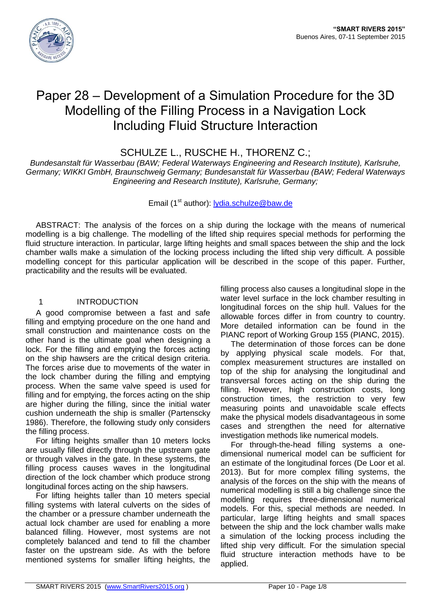

# Paper 28 – Development of a Simulation Procedure for the 3D Modelling of the Filling Process in a Navigation Lock Including Fluid Structure Interaction

SCHULZE L., RUSCHE H., THORENZ C.;

*Bundesanstalt für Wasserbau (BAW; Federal Waterways Engineering and Research Institute), Karlsruhe, Germany; WIKKI GmbH, Braunschweig Germany; Bundesanstalt für Wasserbau (BAW; Federal Waterways Engineering and Research Institute), Karlsruhe, Germany;*

# Email (1<sup>st</sup> author): lydia.schulze@baw.de

ABSTRACT: The analysis of the forces on a ship during the lockage with the means of numerical modelling is a big challenge. The modelling of the lifted ship requires special methods for performing the fluid structure interaction. In particular, large lifting heights and small spaces between the ship and the lock chamber walls make a simulation of the locking process including the lifted ship very difficult. A possible modelling concept for this particular application will be described in the scope of this paper. Further, practicability and the results will be evaluated.

# 1 INTRODUCTION

A good compromise between a fast and safe filling and emptying procedure on the one hand and small construction and maintenance costs on the other hand is the ultimate goal when designing a lock. For the filling and emptying the forces acting on the ship hawsers are the critical design criteria. The forces arise due to movements of the water in the lock chamber during the filling and emptying process. When the same valve speed is used for filling and for emptying, the forces acting on the ship are higher during the filling, since the initial water cushion underneath the ship is smaller (Partenscky 1986). Therefore, the following study only considers the filling process.

For lifting heights smaller than 10 meters locks are usually filled directly through the upstream gate or through valves in the gate. In these systems, the filling process causes waves in the longitudinal direction of the lock chamber which produce strong longitudinal forces acting on the ship hawsers.

For lifting heights taller than 10 meters special filling systems with lateral culverts on the sides of the chamber or a pressure chamber underneath the actual lock chamber are used for enabling a more balanced filling. However, most systems are not completely balanced and tend to fill the chamber faster on the upstream side. As with the before mentioned systems for smaller lifting heights, the

filling process also causes a longitudinal slope in the water level surface in the lock chamber resulting in longitudinal forces on the ship hull. Values for the allowable forces differ in from country to country. More detailed information can be found in the PIANC report of Working Group 155 (PIANC, 2015).

The determination of those forces can be done by applying physical scale models. For that, complex measurement structures are installed on top of the ship for analysing the longitudinal and transversal forces acting on the ship during the filling. However, high construction costs, long construction times, the restriction to very few measuring points and unavoidable scale effects make the physical models disadvantageous in some cases and strengthen the need for alternative investigation methods like numerical models.

For through-the-head filling systems a onedimensional numerical model can be sufficient for an estimate of the longitudinal forces (De Loor et al. 2013). But for more complex filling systems, the analysis of the forces on the ship with the means of numerical modelling is still a big challenge since the modelling requires three-dimensional numerical models. For this, special methods are needed. In particular, large lifting heights and small spaces between the ship and the lock chamber walls make a simulation of the locking process including the lifted ship very difficult. For the simulation special fluid structure interaction methods have to be applied.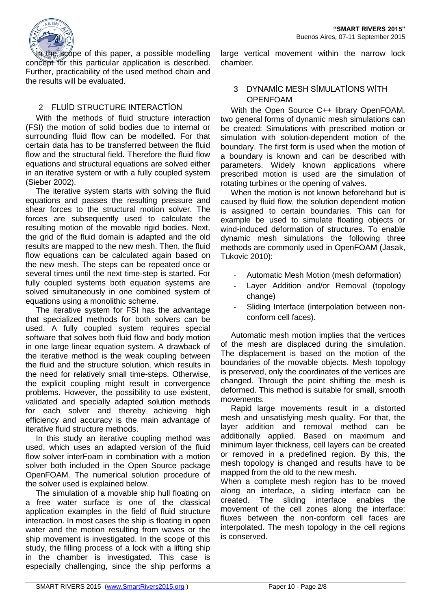

In the scope of this paper, a possible modelling concept for this particular application is described. Further, practicability of the used method chain and the results will be evaluated.

# 2 FLUİD STRUCTURE INTERACTİON

With the methods of fluid structure interaction (FSI) the motion of solid bodies due to internal or surrounding fluid flow can be modelled. For that certain data has to be transferred between the fluid flow and the structural field. Therefore the fluid flow equations and structural equations are solved either in an iterative system or with a fully coupled system (Sieber 2002).

The iterative system starts with solving the fluid equations and passes the resulting pressure and shear forces to the structural motion solver. The forces are subsequently used to calculate the resulting motion of the movable rigid bodies. Next, the grid of the fluid domain is adapted and the old results are mapped to the new mesh. Then, the fluid flow equations can be calculated again based on the new mesh. The steps can be repeated once or several times until the next time-step is started. For fully coupled systems both equation systems are solved simultaneously in one combined system of equations using a monolithic scheme.

The iterative system for FSI has the advantage that specialized methods for both solvers can be used. A fully coupled system requires special software that solves both fluid flow and body motion in one large linear equation system. A drawback of the iterative method is the weak coupling between the fluid and the structure solution, which results in the need for relatively small time-steps. Otherwise, the explicit coupling might result in convergence problems. However, the possibility to use existent, validated and specially adapted solution methods for each solver and thereby achieving high efficiency and accuracy is the main advantage of iterative fluid structure methods.

In this study an iterative coupling method was used, which uses an adapted version of the fluid flow solver interFoam in combination with a motion solver both included in the Open Source package OpenFOAM. The numerical solution procedure of the solver used is explained below.

The simulation of a movable ship hull floating on a free water surface is one of the classical application examples in the field of fluid structure interaction. In most cases the ship is floating in open water and the motion resulting from waves or the ship movement is investigated. In the scope of this study, the filling process of a lock with a lifting ship in the chamber is investigated. This case is especially challenging, since the ship performs a

large vertical movement within the narrow lock chamber.

### 3 DYNAMİC MESH SİMULATİONS WİTH OPENFOAM

With the Open Source C++ library OpenFOAM, two general forms of dynamic mesh simulations can be created: Simulations with prescribed motion or simulation with solution-dependent motion of the boundary. The first form is used when the motion of a boundary is known and can be described with parameters. Widely known applications where prescribed motion is used are the simulation of rotating turbines or the opening of valves.

When the motion is not known beforehand but is caused by fluid flow, the solution dependent motion is assigned to certain boundaries. This can for example be used to simulate floating objects or wind-induced deformation of structures. To enable dynamic mesh simulations the following three methods are commonly used in OpenFOAM (Jasak, Tukovic 2010):

- Automatic Mesh Motion (mesh deformation)
- Layer Addition and/or Removal (topology change)
- Sliding Interface (interpolation between nonconform cell faces).

Automatic mesh motion implies that the vertices of the mesh are displaced during the simulation. The displacement is based on the motion of the boundaries of the movable objects. Mesh topology is preserved, only the coordinates of the vertices are changed. Through the point shifting the mesh is deformed. This method is suitable for small, smooth movements.

Rapid large movements result in a distorted mesh and unsatisfying mesh quality. For that, the layer addition and removal method can be additionally applied. Based on maximum and minimum layer thickness, cell layers can be created or removed in a predefined region. By this, the mesh topology is changed and results have to be mapped from the old to the new mesh.

When a complete mesh region has to be moved along an interface, a sliding interface can be created. The sliding interface enables the movement of the cell zones along the interface; fluxes between the non-conform cell faces are interpolated. The mesh topology in the cell regions is conserved.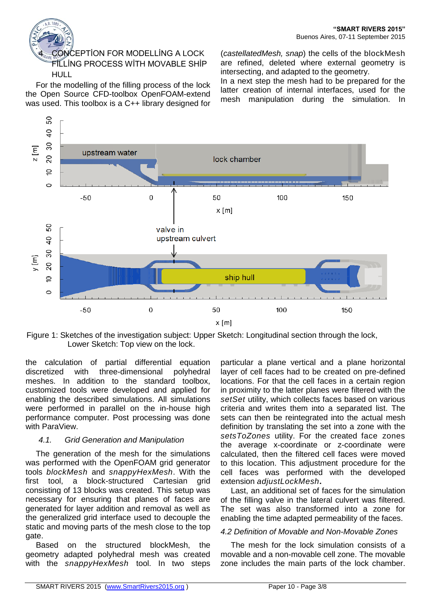# 4 CONCEPTİON FOR MODELLİNG A LOCK FİLLİNG PROCESS WİTH MOVABLE SHİP HULL

For the modelling of the filling process of the lock the Open Source CFD-toolbox OpenFOAM-extend was used. This toolbox is a C++ library designed for

(*castellatedMesh, snap*) the cells of the blockMesh are refined, deleted where external geometry is intersecting, and adapted to the geometry.

In a next step the mesh had to be prepared for the latter creation of internal interfaces, used for the mesh manipulation during the simulation. In



Figure 1: Sketches of the investigation subject: Upper Sketch: Longitudinal section through the lock, Lower Sketch: Top view on the lock.

the calculation of partial differential equation discretized with three-dimensional polyhedral meshes. In addition to the standard toolbox, customized tools were developed and applied for enabling the described simulations. All simulations were performed in parallel on the in-house high performance computer. Post processing was done with ParaView.

# *4.1. Grid Generation and Manipulation*

The generation of the mesh for the simulations was performed with the OpenFOAM grid generator tools *blockMesh* and *snappyHexMesh*. With the first tool, a block-structured Cartesian grid consisting of 13 blocks was created. This setup was necessary for ensuring that planes of faces are generated for layer addition and removal as well as the generalized grid interface used to decouple the static and moving parts of the mesh close to the top gate.

Based on the structured blockMesh, the geometry adapted polyhedral mesh was created with the *snappyHexMesh* tool. In two steps

particular a plane vertical and a plane horizontal layer of cell faces had to be created on pre-defined locations. For that the cell faces in a certain region in proximity to the latter planes were filtered with the *setSet* utility, which collects faces based on various criteria and writes them into a separated list. The sets can then be reintegrated into the actual mesh definition by translating the set into a zone with the *setsToZones* utility. For the created face zones the average x-coordinate or z-coordinate were calculated, then the filtered cell faces were moved to this location. This adjustment procedure for the cell faces was performed with the developed extension *adjustLockMesh***.**

Last, an additional set of faces for the simulation of the filling valve in the lateral culvert was filtered. The set was also transformed into a zone for enabling the time adapted permeability of the faces.

#### *4.2 Definition of Movable and Non-Movable Zones*

The mesh for the lock simulation consists of a movable and a non-movable cell zone. The movable zone includes the main parts of the lock chamber.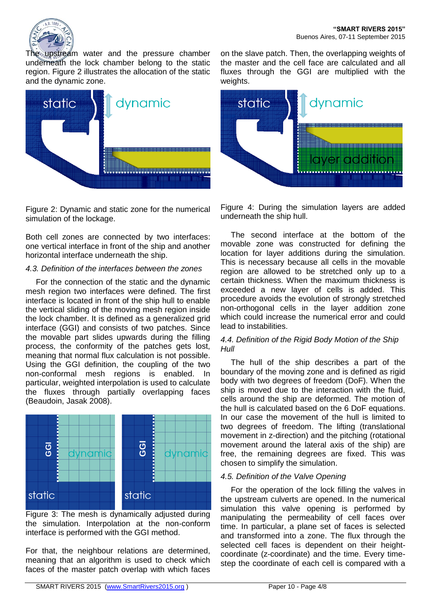

The upstream water and the pressure chamber underneath the lock chamber belong to the static region. Figure 2 illustrates the allocation of the static and the dynamic zone.



Figure 2: Dynamic and static zone for the numerical simulation of the lockage.

Both cell zones are connected by two interfaces: one vertical interface in front of the ship and another horizontal interface underneath the ship.

### *4.3. Definition of the interfaces between the zones*

For the connection of the static and the dynamic mesh region two interfaces were defined. The first interface is located in front of the ship hull to enable the vertical sliding of the moving mesh region inside the lock chamber. It is defined as a generalized grid interface (GGI) and consists of two patches. Since the movable part slides upwards during the filling process, the conformity of the patches gets lost, meaning that normal flux calculation is not possible. Using the GGI definition, the coupling of the two non-conformal mesh regions is enabled. In particular, weighted interpolation is used to calculate the fluxes through partially overlapping faces (Beaudoin, Jasak 2008).



Figure 3: The mesh is dynamically adjusted during the simulation. Interpolation at the non-conform interface is performed with the GGI method.

For that, the neighbour relations are determined, meaning that an algorithm is used to check which faces of the master patch overlap with which faces

on the slave patch. Then, the overlapping weights of the master and the cell face are calculated and all fluxes through the GGI are multiplied with the weights.



Figure 4: During the simulation layers are added underneath the ship hull.

The second interface at the bottom of the movable zone was constructed for defining the location for layer additions during the simulation. This is necessary because all cells in the movable region are allowed to be stretched only up to a certain thickness. When the maximum thickness is exceeded a new layer of cells is added. This procedure avoids the evolution of strongly stretched non-orthogonal cells in the layer addition zone which could increase the numerical error and could lead to instabilities.

#### *4.4. Definition of the Rigid Body Motion of the Ship Hull*

The hull of the ship describes a part of the boundary of the moving zone and is defined as rigid body with two degrees of freedom (DoF). When the ship is moved due to the interaction with the fluid, cells around the ship are deformed. The motion of the hull is calculated based on the 6 DoF equations. In our case the movement of the hull is limited to two degrees of freedom. The lifting (translational movement in z-direction) and the pitching (rotational movement around the lateral axis of the ship) are free, the remaining degrees are fixed. This was chosen to simplify the simulation.

# *4.5. Definition of the Valve Opening*

For the operation of the lock filling the valves in the upstream culverts are opened. In the numerical simulation this valve opening is performed by manipulating the permeability of cell faces over time. In particular, a plane set of faces is selected and transformed into a zone. The flux through the selected cell faces is dependent on their heightcoordinate (z-coordinate) and the time. Every timestep the coordinate of each cell is compared with a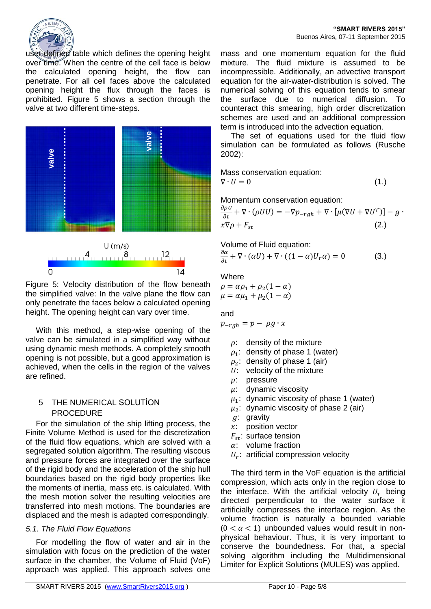

user-defined table which defines the opening height over time. When the centre of the cell face is below the calculated opening height, the flow can penetrate. For all cell faces above the calculated opening height the flux through the faces is prohibited. Figure 5 shows a section through the valve at two different time-steps.





Figure 5: Velocity distribution of the flow beneath the simplified valve: In the valve plane the flow can only penetrate the faces below a calculated opening height. The opening height can vary over time.

With this method, a step-wise opening of the valve can be simulated in a simplified way without using dynamic mesh methods. A completely smooth opening is not possible, but a good approximation is achieved, when the cells in the region of the valves are refined.

### 5 THE NUMERICAL SOLUTİON PROCEDURE

For the simulation of the ship lifting process, the Finite Volume Method is used for the discretization of the fluid flow equations, which are solved with a segregated solution algorithm. The resulting viscous and pressure forces are integrated over the surface of the rigid body and the acceleration of the ship hull boundaries based on the rigid body properties like the moments of inertia, mass etc. is calculated. With the mesh motion solver the resulting velocities are transferred into mesh motions. The boundaries are displaced and the mesh is adapted correspondingly.

#### *5.1. The Fluid Flow Equations*

For modelling the flow of water and air in the simulation with focus on the prediction of the water surface in the chamber, the Volume of Fluid (VoF) approach was applied. This approach solves one

mass and one momentum equation for the fluid mixture. The fluid mixture is assumed to be incompressible. Additionally, an advective transport equation for the air-water-distribution is solved. The numerical solving of this equation tends to smear the surface due to numerical diffusion. To counteract this smearing, high order discretization schemes are used and an additional compression term is introduced into the advection equation.

The set of equations used for the fluid flow simulation can be formulated as follows (Rusche 2002):

Mass conservation equation:  $\nabla \cdot U = 0$  (1.)

Momentum conservation equation:

$$
\frac{\partial \rho U}{\partial t} + \nabla \cdot (\rho U U) = -\nabla p_{-rgh} + \nabla \cdot [\mu (\nabla U + \nabla U^T)] - g \cdot \mathbf{x} \nabla \rho + F_{st} \tag{2.}
$$

Volume of Fluid equation:

$$
\frac{\partial \alpha}{\partial t} + \nabla \cdot (\alpha U) + \nabla \cdot ((1 - \alpha)U_r \alpha) = 0 \tag{3.}
$$

#### **Where**

 $\rho = \alpha \rho_1 + \rho_2 (1 - \alpha)$  $\mu = \alpha \mu_1 + \mu_2(1 - \alpha)$ 

and

 $p_{-rgh} = p - \rho g \cdot x$ 

- $\rho$ : density of the mixture
- $\rho_1$ : density of phase 1 (water)
- $\rho_2$ : density of phase 1 (air)
- $U:$  velocity of the mixture
- : pressure
- $\mu$ : dynamic viscosity
- $\mu_1$ : dynamic viscosity of phase 1 (water)
- $\mu_2$ : dynamic viscosity of phase 2 (air)
- g: gravity
- $x$ : position vector
- $F_{\text{st}}$ : surface tension
- $\alpha$ : volume fraction
- $U_r$ : artificial compression velocity

The third term in the VoF equation is the artificial compression, which acts only in the region close to the interface. With the artificial velocity  $U_r$  being directed perpendicular to the water surface it artificially compresses the interface region. As the volume fraction is naturally a bounded variable  $(0 < \alpha < 1)$  unbounded values would result in nonphysical behaviour. Thus, it is very important to conserve the boundedness. For that, a special solving algorithm including the Multidimensional Limiter for Explicit Solutions (MULES) was applied.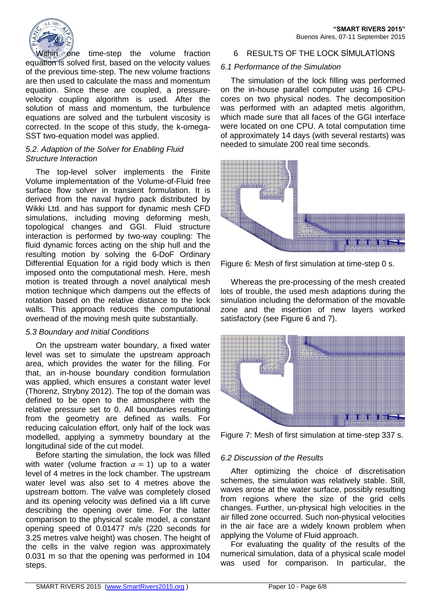

Within one time-step the volume fraction equation is solved first, based on the velocity values of the previous time-step. The new volume fractions are then used to calculate the mass and momentum equation. Since these are coupled, a pressurevelocity coupling algorithm is used. After the solution of mass and momentum, the turbulence equations are solved and the turbulent viscosity is corrected. In the scope of this study, the k-omega-SST two-equation model was applied.

#### *5.2. Adaption of the Solver for Enabling Fluid Structure Interaction*

The top-level solver implements the Finite Volume implementation of the Volume-of-Fluid free surface flow solver in transient formulation. It is derived from the naval hydro pack distributed by Wikki Ltd. and has support for dynamic mesh CFD simulations, including moving deforming mesh, topological changes and GGI. Fluid structure interaction is performed by two-way coupling: The fluid dynamic forces acting on the ship hull and the resulting motion by solving the 6-DoF Ordinary Differential Equation for a rigid body which is then imposed onto the computational mesh. Here, mesh motion is treated through a novel analytical mesh motion technique which dampens out the effects of rotation based on the relative distance to the lock walls. This approach reduces the computational overhead of the moving mesh quite substantially.

#### *5.3 Boundary and Initial Conditions*

On the upstream water boundary, a fixed water level was set to simulate the upstream approach area, which provides the water for the filling. For that, an in-house boundary condition formulation was applied, which ensures a constant water level (Thorenz, Strybny 2012). The top of the domain was defined to be open to the atmosphere with the relative pressure set to 0. All boundaries resulting from the geometry are defined as walls. For reducing calculation effort, only half of the lock was modelled, applying a symmetry boundary at the longitudinal side of the cut model.

Before starting the simulation, the lock was filled with water (volume fraction  $\alpha = 1$ ) up to a water level of 4 metres in the lock chamber. The upstream water level was also set to 4 metres above the upstream bottom. The valve was completely closed and its opening velocity was defined via a lift curve describing the opening over time. For the latter comparison to the physical scale model, a constant opening speed of 0.01477 m/s (220 seconds for 3.25 metres valve height) was chosen. The height of the cells in the valve region was approximately 0.031 m so that the opening was performed in 104 steps.

### 6 RESULTS OF THE LOCK SİMULATİONS

#### *6.1 Performance of the Simulation*

The simulation of the lock filling was performed on the in-house parallel computer using 16 CPUcores on two physical nodes. The decomposition was performed with an adapted metis algorithm, which made sure that all faces of the GGI interface were located on one CPU. A total computation time of approximately 14 days (with several restarts) was needed to simulate 200 real time seconds.



Figure 6: Mesh of first simulation at time-step 0 s.

Whereas the pre-processing of the mesh created lots of trouble, the used mesh adaptions during the simulation including the deformation of the movable zone and the insertion of new layers worked satisfactory (see Figure 6 and 7).



Figure 7: Mesh of first simulation at time-step 337 s.

# *6.2 Discussion of the Results*

After optimizing the choice of discretisation schemes, the simulation was relatively stable. Still, waves arose at the water surface, possibly resulting from regions where the size of the grid cells changes. Further, un-physical high velocities in the air filled zone occurred. Such non-physical velocities in the air face are a widely known problem when applying the Volume of Fluid approach.

For evaluating the quality of the results of the numerical simulation, data of a physical scale model was used for comparison. In particular, the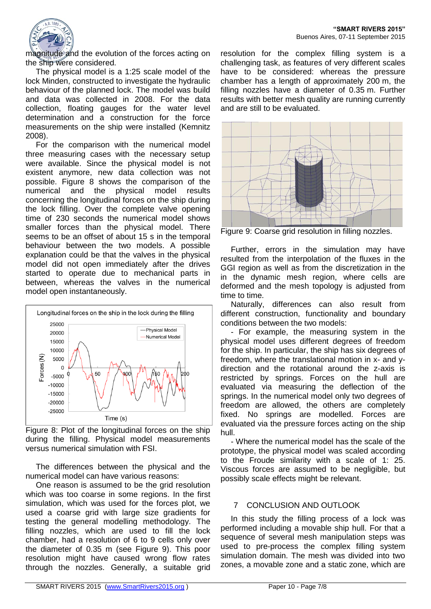

magnitude and the evolution of the forces acting on the ship were considered.

The physical model is a 1:25 scale model of the lock Minden, constructed to investigate the hydraulic behaviour of the planned lock. The model was build and data was collected in 2008. For the data collection, floating gauges for the water level determination and a construction for the force measurements on the ship were installed (Kemnitz 2008).

For the comparison with the numerical model three measuring cases with the necessary setup were available. Since the physical model is not existent anymore, new data collection was not possible. Figure 8 shows the comparison of the numerical and the physical model results concerning the longitudinal forces on the ship during the lock filling. Over the complete valve opening time of 230 seconds the numerical model shows smaller forces than the physical model. There seems to be an offset of about 15 s in the temporal behaviour between the two models. A possible explanation could be that the valves in the physical model did not open immediately after the drives started to operate due to mechanical parts in between, whereas the valves in the numerical model open instantaneously.



Figure 8: Plot of the longitudinal forces on the ship during the filling. Physical model measurements versus numerical simulation with FSI.

The differences between the physical and the numerical model can have various reasons:

One reason is assumed to be the grid resolution which was too coarse in some regions. In the first simulation, which was used for the forces plot, we used a coarse grid with large size gradients for testing the general modelling methodology. The filling nozzles, which are used to fill the lock chamber, had a resolution of 6 to 9 cells only over the diameter of 0.35 m (see Figure 9). This poor resolution might have caused wrong flow rates through the nozzles. Generally, a suitable grid

resolution for the complex filling system is a challenging task, as features of very different scales have to be considered: whereas the pressure chamber has a length of approximately 200 m, the filling nozzles have a diameter of 0.35 m. Further results with better mesh quality are running currently and are still to be evaluated.



Figure 9: Coarse grid resolution in filling nozzles.

Further, errors in the simulation may have resulted from the interpolation of the fluxes in the GGI region as well as from the discretization in the in the dynamic mesh region, where cells are deformed and the mesh topology is adjusted from time to time.

Naturally, differences can also result from different construction, functionality and boundary conditions between the two models:

- For example, the measuring system in the physical model uses different degrees of freedom for the ship. In particular, the ship has six degrees of freedom, where the translational motion in x- and ydirection and the rotational around the z-axis is restricted by springs. Forces on the hull are evaluated via measuring the deflection of the springs. In the numerical model only two degrees of freedom are allowed, the others are completely fixed. No springs are modelled. Forces are evaluated via the pressure forces acting on the ship hull.

- Where the numerical model has the scale of the prototype, the physical model was scaled according to the Froude similarity with a scale of 1: 25. Viscous forces are assumed to be negligible, but possibly scale effects might be relevant.

# 7 CONCLUSION AND OUTLOOK

In this study the filling process of a lock was performed including a movable ship hull. For that a sequence of several mesh manipulation steps was used to pre-process the complex filling system simulation domain. The mesh was divided into two zones, a movable zone and a static zone, which are